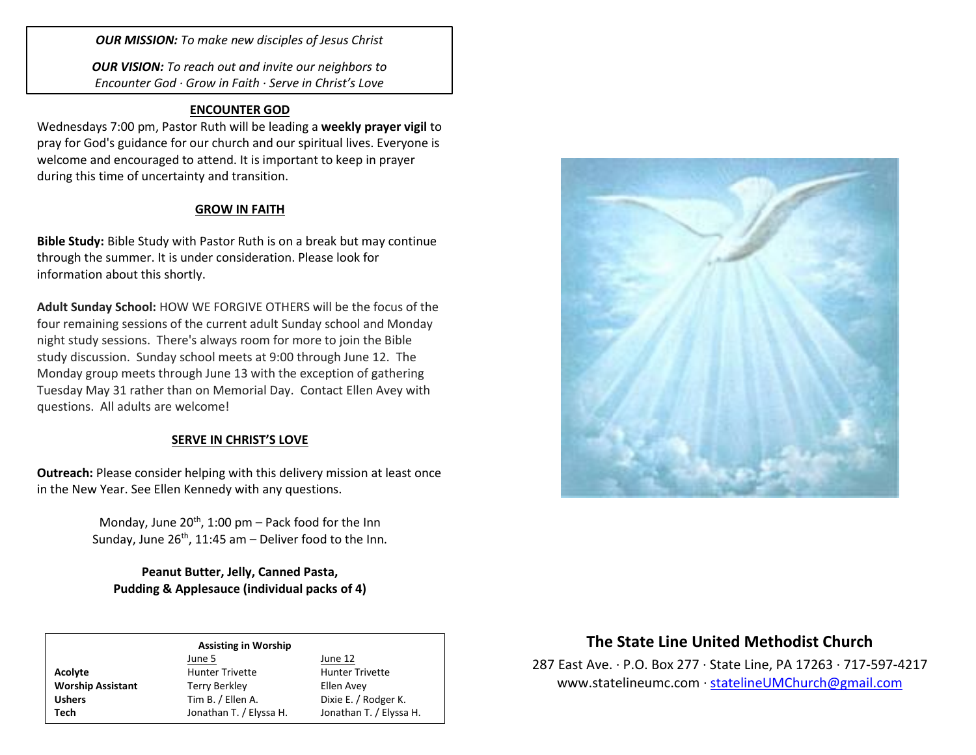*OUR MISSION: To make new disciples of Jesus Christ*

*OUR VISION: To reach out and invite our neighbors to Encounter God · Grow in Faith · Serve in Christ's Love*

## **ENCOUNTER GOD**

Wednesdays 7:00 pm, Pastor Ruth will be leading a **weekly prayer vigil** to pray for God's guidance for our church and our spiritual lives. Everyone is welcome and encouraged to attend. It is important to keep in prayer during this time of uncertainty and transition.

## **GROW IN FAITH**

**Bible Study:** Bible Study with Pastor Ruth is on a break but may continue through the summer. It is under consideration. Please look for information about this shortly.

**Adult Sunday School:** HOW WE FORGIVE OTHERS will be the focus of the four remaining sessions of the current adult Sunday school and Monday night study sessions. There's always room for more to join the Bible study discussion. Sunday school meets at 9:00 through June 12. The Monday group meets through June 13 with the exception of gathering Tuesday May 31 rather than on Memorial Day. Contact Ellen Avey with questions. All adults are welcome!

### **SERVE IN CHRIST'S LOVE**

**Outreach:** Please consider helping with this delivery mission at least once in the New Year. See Ellen Kennedy with any questions.

> Monday, June  $20^{th}$ , 1:00 pm – Pack food for the Inn Sunday, June  $26^{th}$ , 11:45 am – Deliver food to the Inn.

**Peanut Butter, Jelly, Canned Pasta, Pudding & Applesauce (individual packs of 4)**

#### **Assisting in Worship**

|                          | June 5                  | June 12                 |
|--------------------------|-------------------------|-------------------------|
| Acolyte                  | <b>Hunter Trivette</b>  | <b>Hunter Trivette</b>  |
| <b>Worship Assistant</b> | <b>Terry Berkley</b>    | Ellen Avey              |
| <b>Ushers</b>            | Tim B. / Ellen A.       | Dixie E. / Rodger K.    |
| Tech                     | Jonathan T. / Elyssa H. | Jonathan T. / Elyssa H. |



# **The State Line United Methodist Church**

287 East Ave. · P.O. Box 277 · State Line, PA 17263 · 717-597-4217 [www.statelineumc.com](http://www.statelineumc.com/) · [statelineUMChurch@gmail.com](mailto:statelineUMChurch@gmail.com)